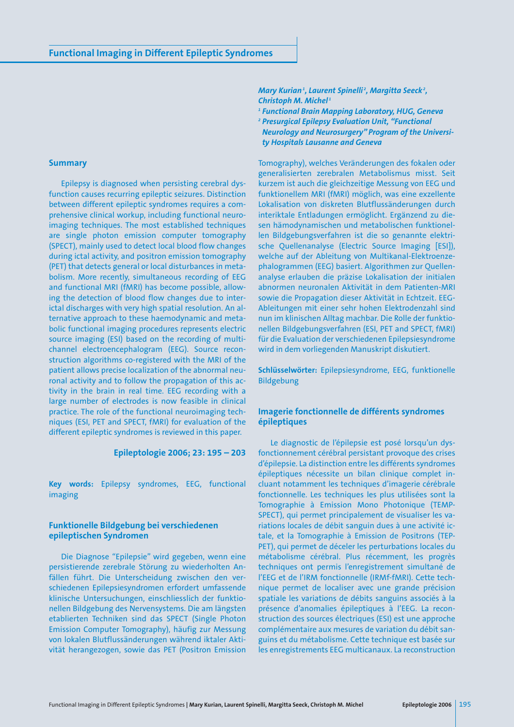#### **Summary**

Epilepsy is diagnosed when persisting cerebral dysfunction causes recurring epileptic seizures. Distinction between different epileptic syndromes requires a comprehensive clinical workup, including functional neuroimaging techniques. The most established techniques are single photon emission computer tomography (SPECT), mainly used to detect local blood flow changes during ictal activity, and positron emission tomography (PET) that detects general or local disturbances in metabolism. More recently, simultaneous recording of EEG and functional MRI (fMRI) has become possible, allowing the detection of blood flow changes due to interictal discharges with very high spatial resolution. An alternative approach to these haemodynamic and metabolic functional imaging procedures represents electric source imaging (ESI) based on the recording of multichannel electroencephalogram (EEG). Source reconstruction algorithms co-registered with the MRI of the patient allows precise localization of the abnormal neuronal activity and to follow the propagation of this activity in the brain in real time. EEG recording with a large number of electrodes is now feasible in clinical practice. The role of the functional neuroimaging techniques (ESI, PET and SPECT, fMRI) for evaluation of the different epileptic syndromes is reviewed in this paper.

#### **Epileptologie 2006; 23: 195 – 203**

**Key words:** Epilepsy syndromes, EEG, functional imaging

## **Funktionelle Bildgebung bei verschiedenen epileptischen Syndromen**

Die Diagnose "Epilepsie" wird gegeben, wenn eine persistierende zerebrale Störung zu wiederholten Anfällen führt. Die Unterscheidung zwischen den verschiedenen Epilepsiesyndromen erfordert umfassende klinische Untersuchungen, einschliesslich der funktionellen Bildgebung des Nervensystems. Die am längsten etablierten Techniken sind das SPECT (Single Photon Emission Computer Tomography), häufig zur Messung von lokalen Blutflussänderungen während iktaler Aktivität herangezogen, sowie das PET (Positron Emission

*Mary Kurian1 , Laurent Spinelli <sup>2</sup> , Margitta Seeck <sup>2</sup> , Christoph M. Michel <sup>1</sup>*

*<sup>1</sup> Functional Brain Mapping Laboratory, HUG, Geneva <sup>2</sup> Presurgical Epilepsy Evaluation Unit, "Functional Neurology and Neurosurgery" Program of the University Hospitals Lausanne and Geneva* 

Tomography), welches Veränderungen des fokalen oder generalisierten zerebralen Metabolismus misst. Seit kurzem ist auch die gleichzeitige Messung von EEG und funktionellem MRI (fMRI) möglich, was eine exzellente Lokalisation von diskreten Blutflussänderungen durch interiktale Entladungen ermöglicht. Ergänzend zu diesen hämodynamischen und metabolischen funktionellen Bildgebungsverfahren ist die so genannte elektrische Quellenanalyse (Electric Source Imaging [ESI]), welche auf der Ableitung von Multikanal-Elektroenzephalogrammen (EEG) basiert. Algorithmen zur Quellenanalyse erlauben die präzise Lokalisation der initialen abnormen neuronalen Aktivität in dem Patienten-MRI sowie die Propagation dieser Aktivität in Echtzeit. EEG-Ableitungen mit einer sehr hohen Elektrodenzahl sind nun im klinischen Alltag machbar. Die Rolle der funktionellen Bildgebungsverfahren (ESI, PET and SPECT, fMRI) für die Evaluation der verschiedenen Epilepsiesyndrome wird in dem vorliegenden Manuskript diskutiert.

**Schlüsselwörter:** Epilepsiesyndrome, EEG, funktionelle Bildgebung

# **Imagerie fonctionnelle de différents syndromes épileptiques**

Le diagnostic de l'épilepsie est posé lorsqu'un dysfonctionnement cérébral persistant provoque des crises d'épilepsie. La distinction entre les différents syndromes épileptiques nécessite un bilan clinique complet incluant notamment les techniques d'imagerie cérébrale fonctionnelle. Les techniques les plus utilisées sont la Tomographie à Emission Mono Photonique (TEMP-SPECT), qui permet principalement de visualiser les variations locales de débit sanguin dues à une activité ictale, et la Tomographie à Emission de Positrons (TEP-PET), qui permet de déceler les perturbations locales du métabolisme cérébral. Plus récemment, les progrès techniques ont permis l'enregistrement simultané de l'EEG et de l'IRM fonctionnelle (IRMf-fMRI). Cette technique permet de localiser avec une grande précision spatiale les variations de débits sanguins associés à la présence d'anomalies épileptiques à l'EEG. La reconstruction des sources électriques (ESI) est une approche complémentaire aux mesures de variation du débit sanguins et du métabolisme. Cette technique est basée sur les enregistrements EEG multicanaux. La reconstruction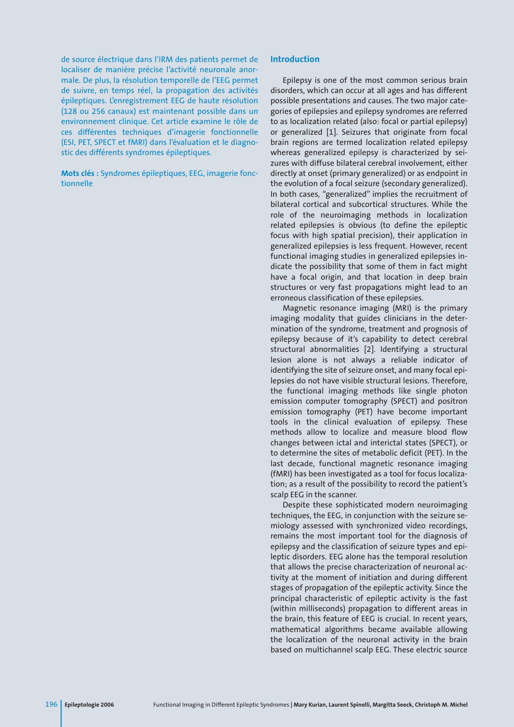de source électrique dans l'IRM des patients permet de localiser de manière précise l'activité neuronale anormale. De plus, la résolution temporelle de l'EEG permet de suivre, en temps réel, la propagation des activités épileptiques. L'enregistrement EEG de haute résolution (128 ou 256 canaux) est maintenant possible dans un environnement clinique. Cet article examine le rôle de ces différentes techniques d'imagerie fonctionnelle (ESI, PET, SPECT et fMRI) dans l'évaluation et le diagnostic des différents syndromes épileptiques.

**Mots clés :** Syndromes épileptiques, EEG, imagerie fonctionnelle

# **Introduction**

Epilepsy is one of the most common serious brain disorders, which can occur at all ages and has different possible presentations and causes. The two major categories of epilepsies and epilepsy syndromes are referred to as localization related (also: focal or partial epilepsy) or generalized [1]. Seizures that originate from focal brain regions are termed localization related epilepsy whereas generalized epilepsy is characterized by seizures with diffuse bilateral cerebral involvement, either directly at onset (primary generalized) or as endpoint in the evolution of a focal seizure (secondary generalized). In both cases, "generalized" implies the recruitment of bilateral cortical and subcortical structures. While the role of the neuroimaging methods in localization related epilepsies is obvious (to define the epileptic focus with high spatial precision), their application in generalized epilepsies is less frequent. However, recent functional imaging studies in generalized epilepsies indicate the possibility that some of them in fact might have a focal origin, and that location in deep brain structures or very fast propagations might lead to an erroneous classification of these epilepsies.

Magnetic resonance imaging (MRI) is the primary imaging modality that guides clinicians in the determination of the syndrome, treatment and prognosis of epilepsy because of it's capability to detect cerebral structural abnormalities [2]. Identifying a structural lesion alone is not always a reliable indicator of identifying the site of seizure onset, and many focal epilepsies do not have visible structural lesions. Therefore, the functional imaging methods like single photon emission computer tomography (SPECT) and positron emission tomography (PET) have become important tools in the clinical evaluation of epilepsy. These methods allow to localize and measure blood flow changes between ictal and interictal states (SPECT), or to determine the sites of metabolic deficit (PET). In the last decade, functional magnetic resonance imaging (fMRI) has been investigated as a tool for focus localization; as a result of the possibility to record the patient's scalp EEG in the scanner.

Despite these sophisticated modern neuroimaging techniques, the EEG, in conjunction with the seizure semiology assessed with synchronized video recordings, remains the most important tool for the diagnosis of epilepsy and the classification of seizure types and epileptic disorders. EEG alone has the temporal resolution that allows the precise characterization of neuronal activity at the moment of initiation and during different stages of propagation of the epileptic activity. Since the principal characteristic of epileptic activity is the fast (within milliseconds) propagation to different areas in the brain, this feature of EEG is crucial. In recent years, mathematical algorithms became available allowing the localization of the neuronal activity in the brain based on multichannel scalp EEG. These electric source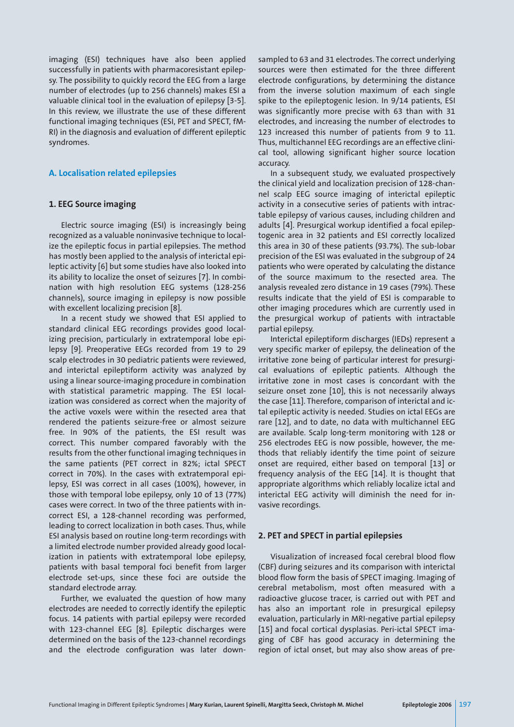imaging (ESI) techniques have also been applied successfully in patients with pharmacoresistant epilepsy. The possibility to quickly record the EEG from a large number of electrodes (up to 256 channels) makes ESI a valuable clinical tool in the evaluation of epilepsy [3-5]. In this review, we illustrate the use of these different functional imaging techniques (ESI, PET and SPECT, fM-RI) in the diagnosis and evaluation of different epileptic syndromes.

# **A. Localisation related epilepsies**

## **1. EEG Source imaging**

Electric source imaging (ESI) is increasingly being recognized as a valuable noninvasive technique to localize the epileptic focus in partial epilepsies. The method has mostly been applied to the analysis of interictal epileptic activity [6] but some studies have also looked into its ability to localize the onset of seizures [7]. In combination with high resolution EEG systems (128-256 channels), source imaging in epilepsy is now possible with excellent localizing precision [8].

In a recent study we showed that ESI applied to standard clinical EEG recordings provides good localizing precision, particularly in extratemporal lobe epilepsy [9]. Preoperative EEGs recorded from 19 to 29 scalp electrodes in 30 pediatric patients were reviewed, and interictal epileptiform activity was analyzed by using a linear source-imaging procedure in combination with statistical parametric mapping. The ESI localization was considered as correct when the majority of the active voxels were within the resected area that rendered the patients seizure-free or almost seizure free. In 90% of the patients, the ESI result was correct. This number compared favorably with the results from the other functional imaging techniques in the same patients (PET correct in 82%; ictal SPECT correct in 70%). In the cases with extratemporal epilepsy, ESI was correct in all cases (100%), however, in those with temporal lobe epilepsy, only 10 of 13 (77%) cases were correct. In two of the three patients with incorrect ESI, a 128-channel recording was performed, leading to correct localization in both cases. Thus, while ESI analysis based on routine long-term recordings with a limited electrode number provided already good localization in patients with extratemporal lobe epilepsy, patients with basal temporal foci benefit from larger electrode set-ups, since these foci are outside the standard electrode array.

Further, we evaluated the question of how many electrodes are needed to correctly identify the epileptic focus. 14 patients with partial epilepsy were recorded with 123-channel EEG [8]. Epileptic discharges were determined on the basis of the 123-channel recordings and the electrode configuration was later down-

sampled to 63 and 31 electrodes. The correct underlying sources were then estimated for the three different electrode configurations, by determining the distance from the inverse solution maximum of each single spike to the epileptogenic lesion. In 9/14 patients, ESI was significantly more precise with 63 than with 31 electrodes, and increasing the number of electrodes to 123 increased this number of patients from 9 to 11. Thus, multichannel EEG recordings are an effective clinical tool, allowing significant higher source location accuracy.

In a subsequent study, we evaluated prospectively the clinical yield and localization precision of 128-channel scalp EEG source imaging of interictal epileptic activity in a consecutive series of patients with intractable epilepsy of various causes, including children and adults [4]. Presurgical workup identified a focal epileptogenic area in 32 patients and ESI correctly localized this area in 30 of these patients (93.7%). The sub-lobar precision of the ESI was evaluated in the subgroup of 24 patients who were operated by calculating the distance of the source maximum to the resected area. The analysis revealed zero distance in 19 cases (79%). These results indicate that the yield of ESI is comparable to other imaging procedures which are currently used in the presurgical workup of patients with intractable partial epilepsy.

Interictal epileptiform discharges (IEDs) represent a very specific marker of epilepsy, the delineation of the irritative zone being of particular interest for presurgical evaluations of epileptic patients. Although the irritative zone in most cases is concordant with the seizure onset zone [10], this is not necessarily always the case [11]. Therefore, comparison of interictal and ictal epileptic activity is needed. Studies on ictal EEGs are rare [12], and to date, no data with multichannel EEG are available. Scalp long-term monitoring with 128 or 256 electrodes EEG is now possible, however, the methods that reliably identify the time point of seizure onset are required, either based on temporal [13] or frequency analysis of the EEG [14]. It is thought that appropriate algorithms which reliably localize ictal and interictal EEG activity will diminish the need for invasive recordings.

### **2. PET and SPECT in partial epilepsies**

Visualization of increased focal cerebral blood flow (CBF) during seizures and its comparison with interictal blood flow form the basis of SPECT imaging. Imaging of cerebral metabolism, most often measured with a radioactive glucose tracer, is carried out with PET and has also an important role in presurgical epilepsy evaluation, particularly in MRI-negative partial epilepsy [15] and focal cortical dysplasias. Peri-ictal SPECT imaging of CBF has good accuracy in determining the region of ictal onset, but may also show areas of pre-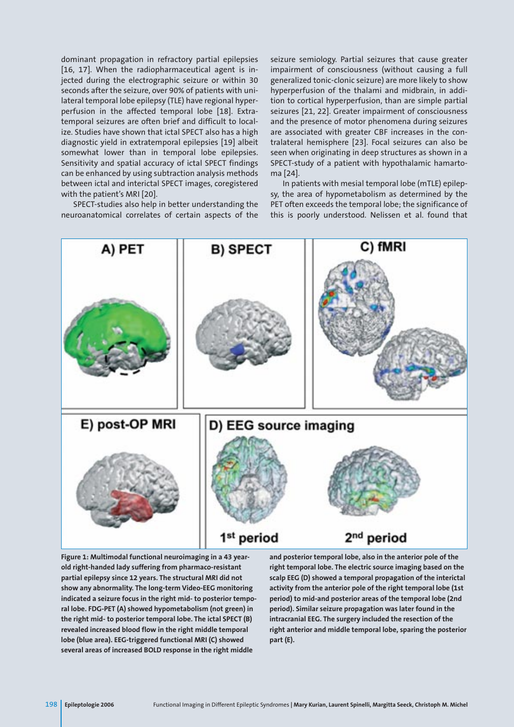dominant propagation in refractory partial epilepsies [16, 17]. When the radiopharmaceutical agent is injected during the electrographic seizure or within 30 seconds after the seizure, over 90% of patients with unilateral temporal lobe epilepsy (TLE) have regional hyperperfusion in the affected temporal lobe [18]. Extratemporal seizures are often brief and difficult to localize. Studies have shown that ictal SPECT also has a high diagnostic yield in extratemporal epilepsies [19] albeit somewhat lower than in temporal lobe epilepsies. Sensitivity and spatial accuracy of ictal SPECT findings can be enhanced by using subtraction analysis methods between ictal and interictal SPECT images, coregistered with the patient's MRI [20].

SPECT-studies also help in better understanding the neuroanatomical correlates of certain aspects of the seizure semiology. Partial seizures that cause greater impairment of consciousness (without causing a full generalized tonic-clonic seizure) are more likely to show hyperperfusion of the thalami and midbrain, in addition to cortical hyperperfusion, than are simple partial seizures [21, 22]. Greater impairment of consciousness and the presence of motor phenomena during seizures are associated with greater CBF increases in the contralateral hemisphere [23]. Focal seizures can also be seen when originating in deep structures as shown in a SPECT-study of a patient with hypothalamic hamartoma [24].

In patients with mesial temporal lobe (mTLE) epilepsy, the area of hypometabolism as determined by the PET often exceeds the temporal lobe; the significance of this is poorly understood. Nelissen et al. found that



**Figure 1: Multimodal functional neuroimaging in a 43 yearold right-handed lady suffering from pharmaco-resistant partial epilepsy since 12 years. The structural MRI did not show any abnormality. The long-term Video-EEG monitoring indicated a seizure focus in the right mid- to posterior temporal lobe. FDG-PET (A) showed hypometabolism (not green) in the right mid- to posterior temporal lobe. The ictal SPECT (B) revealed increased blood flow in the right middle temporal lobe (blue area). EEG-triggered functional MRI (C) showed several areas of increased BOLD response in the right middle**

**and posterior temporal lobe, also in the anterior pole of the right temporal lobe. The electric source imaging based on the scalp EEG (D) showed a temporal propagation of the interictal activity from the anterior pole of the right temporal lobe (1st period) to mid-and posterior areas of the temporal lobe (2nd period). Similar seizure propagation was later found in the intracranial EEG. The surgery included the resection of the right anterior and middle temporal lobe, sparing the posterior part (E).**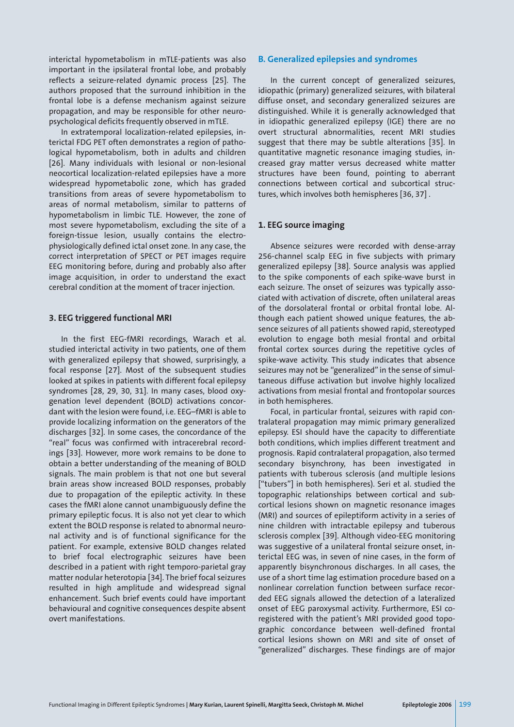interictal hypometabolism in mTLE-patients was also important in the ipsilateral frontal lobe, and probably reflects a seizure-related dynamic process [25]. The authors proposed that the surround inhibition in the frontal lobe is a defense mechanism against seizure propagation, and may be responsible for other neuropsychological deficits frequently observed in mTLE.

In extratemporal localization-related epilepsies, interictal FDG PET often demonstrates a region of pathological hypometabolism, both in adults and children [26]. Many individuals with lesional or non-lesional neocortical localization-related epilepsies have a more widespread hypometabolic zone, which has graded transitions from areas of severe hypometabolism to areas of normal metabolism, similar to patterns of hypometabolism in limbic TLE. However, the zone of most severe hypometabolism, excluding the site of a foreign-tissue lesion, usually contains the electrophysiologically defined ictal onset zone. In any case, the correct interpretation of SPECT or PET images require EEG monitoring before, during and probably also after image acquisition, in order to understand the exact cerebral condition at the moment of tracer injection.

### **3. EEG triggered functional MRI**

In the first EEG-fMRI recordings, Warach et al. studied interictal activity in two patients, one of them with generalized epilepsy that showed, surprisingly, a focal response [27]. Most of the subsequent studies looked at spikes in patients with different focal epilepsy syndromes [28, 29, 30, 31]. In many cases, blood oxygenation level dependent (BOLD) activations concordant with the lesion were found, i.e. EEG–fMRI is able to provide localizing information on the generators of the discharges [32]. In some cases, the concordance of the "real" focus was confirmed with intracerebral recordings [33]. However, more work remains to be done to obtain a better understanding of the meaning of BOLD signals. The main problem is that not one but several brain areas show increased BOLD responses, probably due to propagation of the epileptic activity. In these cases the fMRI alone cannot unambiguously define the primary epileptic focus. It is also not yet clear to which extent the BOLD response is related to abnormal neuronal activity and is of functional significance for the patient. For example, extensive BOLD changes related to brief focal electrographic seizures have been described in a patient with right temporo-parietal gray matter nodular heterotopia [34]. The brief focal seizures resulted in high amplitude and widespread signal enhancement. Such brief events could have important behavioural and cognitive consequences despite absent overt manifestations.

#### **B. Generalized epilepsies and syndromes**

In the current concept of generalized seizures, idiopathic (primary) generalized seizures, with bilateral diffuse onset, and secondary generalized seizures are distinguished. While it is generally acknowledged that in idiopathic generalized epilepsy (IGE) there are no overt structural abnormalities, recent MRI studies suggest that there may be subtle alterations [35]. In quantitative magnetic resonance imaging studies, increased gray matter versus decreased white matter structures have been found, pointing to aberrant connections between cortical and subcortical structures, which involves both hemispheres [36, 37] .

#### **1. EEG source imaging**

Absence seizures were recorded with dense-array 256-channel scalp EEG in five subjects with primary generalized epilepsy [38]. Source analysis was applied to the spike components of each spike-wave burst in each seizure. The onset of seizures was typically associated with activation of discrete, often unilateral areas of the dorsolateral frontal or orbital frontal lobe. Although each patient showed unique features, the absence seizures of all patients showed rapid, stereotyped evolution to engage both mesial frontal and orbital frontal cortex sources during the repetitive cycles of spike-wave activity. This study indicates that absence seizures may not be "generalized" in the sense of simultaneous diffuse activation but involve highly localized activations from mesial frontal and frontopolar sources in both hemispheres.

Focal, in particular frontal, seizures with rapid contralateral propagation may mimic primary generalized epilepsy. ESI should have the capacity to differentiate both conditions, which implies different treatment and prognosis. Rapid contralateral propagation, also termed secondary bisynchrony, has been investigated in patients with tuberous sclerosis (and multiple lesions ["tubers"] in both hemispheres). Seri et al. studied the topographic relationships between cortical and subcortical lesions shown on magnetic resonance images (MRI) and sources of epileptiform activity in a series of nine children with intractable epilepsy and tuberous sclerosis complex [39]. Although video-EEG monitoring was suggestive of a unilateral frontal seizure onset, interictal EEG was, in seven of nine cases, in the form of apparently bisynchronous discharges. In all cases, the use of a short time lag estimation procedure based on a nonlinear correlation function between surface recorded EEG signals allowed the detection of a lateralized onset of EEG paroxysmal activity. Furthermore, ESI coregistered with the patient's MRI provided good topographic concordance between well-defined frontal cortical lesions shown on MRI and site of onset of "generalized" discharges. These findings are of major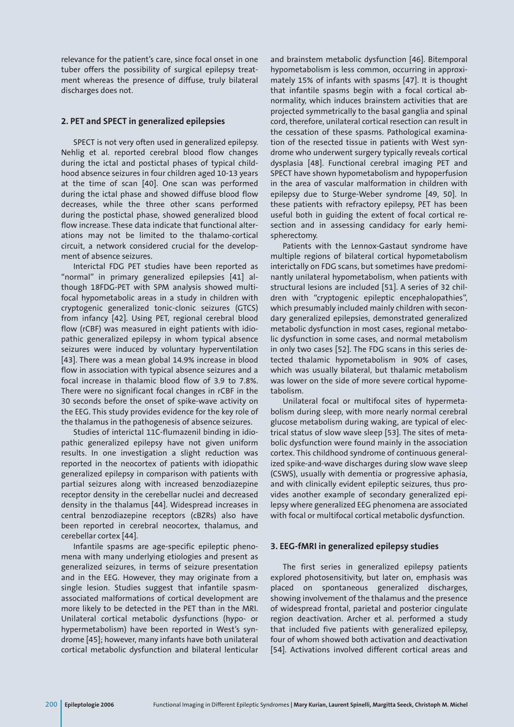relevance for the patient's care, since focal onset in one tuber offers the possibility of surgical epilepsy treatment whereas the presence of diffuse, truly bilateral discharges does not.

# **2. PET and SPECT in generalized epilepsies**

SPECT is not very often used in generalized epilepsy. Nehlig et al. reported cerebral blood flow changes during the ictal and postictal phases of typical childhood absence seizures in four children aged 10-13 years at the time of scan [40]. One scan was performed during the ictal phase and showed diffuse blood flow decreases, while the three other scans performed during the postictal phase, showed generalized blood flow increase. These data indicate that functional alterations may not be limited to the thalamo-cortical circuit, a network considered crucial for the development of absence seizures.

Interictal FDG PET studies have been reported as "normal" in primary generalized epilepsies [41] although 18FDG-PET with SPM analysis showed multifocal hypometabolic areas in a study in children with cryptogenic generalized tonic-clonic seizures (GTCS) from infancy [42]. Using PET, regional cerebral blood flow (rCBF) was measured in eight patients with idiopathic generalized epilepsy in whom typical absence seizures were induced by voluntary hyperventilation [43]. There was a mean global 14.9% increase in blood flow in association with typical absence seizures and a focal increase in thalamic blood flow of 3.9 to 7.8%. There were no significant focal changes in rCBF in the 30 seconds before the onset of spike-wave activity on the EEG. This study provides evidence for the key role of the thalamus in the pathogenesis of absence seizures.

Studies of interictal 11C-flumazenil binding in idiopathic generalized epilepsy have not given uniform results. In one investigation a slight reduction was reported in the neocortex of patients with idiopathic generalized epilepsy in comparison with patients with partial seizures along with increased benzodiazepine receptor density in the cerebellar nuclei and decreased density in the thalamus [44]. Widespread increases in central benzodiazepine receptors (cBZRs) also have been reported in cerebral neocortex, thalamus, and cerebellar cortex [44].

Infantile spasms are age-specific epileptic phenomena with many underlying etiologies and present as generalized seizures, in terms of seizure presentation and in the EEG. However, they may originate from a single lesion. Studies suggest that infantile spasmassociated malformations of cortical development are more likely to be detected in the PET than in the MRI. Unilateral cortical metabolic dysfunctions (hypo- or hypermetabolism) have been reported in West's syndrome [45]; however, many infants have both unilateral cortical metabolic dysfunction and bilateral lenticular

and brainstem metabolic dysfunction [46]. Bitemporal hypometabolism is less common, occurring in approximately 15% of infants with spasms [47]. It is thought that infantile spasms begin with a focal cortical abnormality, which induces brainstem activities that are projected symmetrically to the basal ganglia and spinal cord, therefore, unilateral cortical resection can result in the cessation of these spasms. Pathological examination of the resected tissue in patients with West syndrome who underwent surgery typically reveals cortical dysplasia [48]. Functional cerebral imaging PET and SPECT have shown hypometabolism and hypoperfusion in the area of vascular malformation in children with epilepsy due to Sturge-Weber syndrome [49, 50]. In these patients with refractory epilepsy, PET has been useful both in guiding the extent of focal cortical resection and in assessing candidacy for early hemispherectomy.

Patients with the Lennox-Gastaut syndrome have multiple regions of bilateral cortical hypometabolism interictally on FDG scans, but sometimes have predominantly unilateral hypometabolism, when patients with structural lesions are included [51]. A series of 32 children with "cryptogenic epileptic encephalopathies", which presumably included mainly children with secondary generalized epilepsies, demonstrated generalized metabolic dysfunction in most cases, regional metabolic dysfunction in some cases, and normal metabolism in only two cases [52]. The FDG scans in this series detected thalamic hypometabolism in 90% of cases, which was usually bilateral, but thalamic metabolism was lower on the side of more severe cortical hypometabolism.

Unilateral focal or multifocal sites of hypermetabolism during sleep, with more nearly normal cerebral glucose metabolism during waking, are typical of electrical status of slow wave sleep [53]. The sites of metabolic dysfunction were found mainly in the association cortex. This childhood syndrome of continuous generalized spike-and-wave discharges during slow wave sleep (CSWS), usually with dementia or progressive aphasia, and with clinically evident epileptic seizures, thus provides another example of secondary generalized epilepsy where generalized EEG phenomena are associated with focal or multifocal cortical metabolic dysfunction.

### **3. EEG-fMRI in generalized epilepsy studies**

The first series in generalized epilepsy patients explored photosensitivity, but later on, emphasis was placed on spontaneous generalized discharges, showing involvement of the thalamus and the presence of widespread frontal, parietal and posterior cingulate region deactivation. Archer et al. performed a study that included five patients with generalized epilepsy, four of whom showed both activation and deactivation [54]. Activations involved different cortical areas and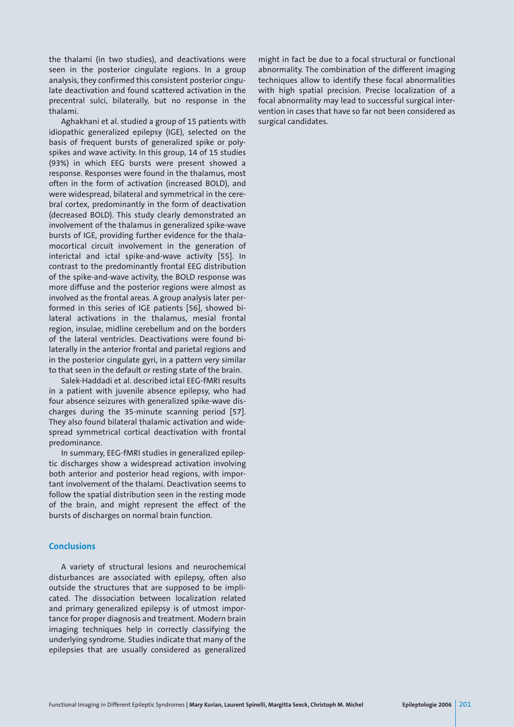the thalami (in two studies), and deactivations were seen in the posterior cingulate regions. In a group analysis, they confirmed this consistent posterior cingulate deactivation and found scattered activation in the precentral sulci, bilaterally, but no response in the thalami.

Aghakhani et al. studied a group of 15 patients with idiopathic generalized epilepsy (IGE), selected on the basis of frequent bursts of generalized spike or polyspikes and wave activity. In this group, 14 of 15 studies (93%) in which EEG bursts were present showed a response. Responses were found in the thalamus, most often in the form of activation (increased BOLD), and were widespread, bilateral and symmetrical in the cerebral cortex, predominantly in the form of deactivation (decreased BOLD). This study clearly demonstrated an involvement of the thalamus in generalized spike-wave bursts of IGE, providing further evidence for the thalamocortical circuit involvement in the generation of interictal and ictal spike-and-wave activity [55]. In contrast to the predominantly frontal EEG distribution of the spike-and-wave activity, the BOLD response was more diffuse and the posterior regions were almost as involved as the frontal areas. A group analysis later performed in this series of IGE patients [56], showed bilateral activations in the thalamus, mesial frontal region, insulae, midline cerebellum and on the borders of the lateral ventricles. Deactivations were found bilaterally in the anterior frontal and parietal regions and in the posterior cingulate gyri, in a pattern very similar to that seen in the default or resting state of the brain.

Salek-Haddadi et al. described ictal EEG-fMRI results in a patient with juvenile absence epilepsy, who had four absence seizures with generalized spike-wave discharges during the 35-minute scanning period [57]. They also found bilateral thalamic activation and widespread symmetrical cortical deactivation with frontal predominance.

In summary, EEG-fMRI studies in generalized epileptic discharges show a widespread activation involving both anterior and posterior head regions, with important involvement of the thalami. Deactivation seems to follow the spatial distribution seen in the resting mode of the brain, and might represent the effect of the bursts of discharges on normal brain function.

### **Conclusions**

A variety of structural lesions and neurochemical disturbances are associated with epilepsy, often also outside the structures that are supposed to be implicated. The dissociation between localization related and primary generalized epilepsy is of utmost importance for proper diagnosis and treatment. Modern brain imaging techniques help in correctly classifying the underlying syndrome. Studies indicate that many of the epilepsies that are usually considered as generalized

might in fact be due to a focal structural or functional abnormality. The combination of the different imaging techniques allow to identify these focal abnormalities with high spatial precision. Precise localization of a focal abnormality may lead to successful surgical intervention in cases that have so far not been considered as surgical candidates.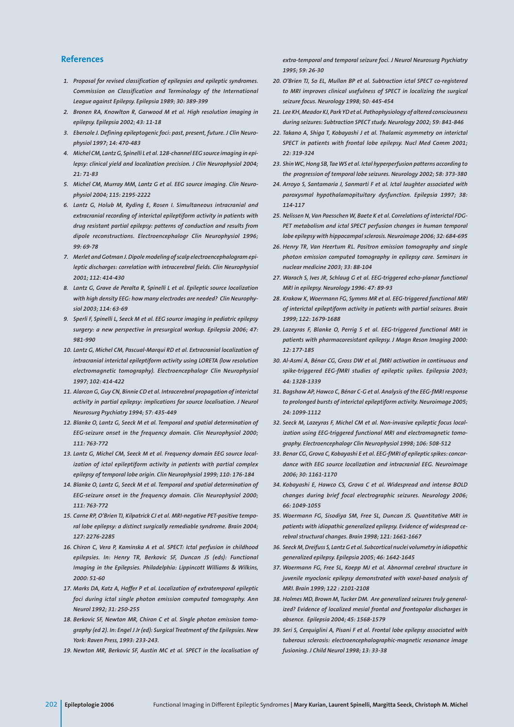### **References**

- *1. Proposal for revised classification of epilepsies and epileptic syndromes. Commission on Classification and Terminology of the International League against Epilepsy. Epilepsia 1989; 30: 389-399*
- *2. Bronen RA, Knowlton R, Garwood M et al. High resolution imaging in epilepsy. Epilepsia 2002; 43: 11-18*
- *3. Ebersole J. Defining epileptogenic foci: past, present, future. J Clin Neurophysiol 1997; 14: 470-483*
- *4. Michel CM, Lantz G, Spinelli L et al. 128-channel EEG source imaging in epilepsy: clinical yield and localization precision. J Clin Neurophysiol 2004; 21: 71-83*
- *5. Michel CM, Murray MM, Lantz G et al. EEG source imaging. Clin Neurophysiol 2004; 115: 2195-2222*
- *6. Lantz G, Holub M, Ryding E, Rosen I. Simultaneous intracranial and extracranial recording of interictal epileptiform activity in patients with drug resistant partial epilepsy: patterns of conduction and results from dipole reconstructions. Electroencephalogr Clin Neurophysiol 1996; 99: 69-78*
- *7. Merlet and Gotman J. Dipole modeling of scalp electroencephalogram epileptic discharges: correlation with intracerebral fields. Clin Neurophysiol 2001; 112: 414-430*
- *8. Lantz G, Grave de Peralta R, Spinelli L et al. Epileptic source localization with high density EEG: how many electrodes are needed? Clin Neurophysiol 2003; 114: 63-69*
- *9. Sperli F, Spinelli L, Seeck M et al. EEG source imaging in pediatric epilepsy surgery: a new perspective in presurgical workup. Epilepsia 2006; 47: 981-990*
- *10. Lantz G, Michel CM, Pascual-Marqui RD et al. Extracranial localization of intracranial interictal epileptiform activity using LORETA (low resolution electromagnetic tomography). Electroencephalogr Clin Neurophysiol 1997; 102: 414-422*
- *11. Alarcon G, Guy CN, Binnie CD et al. Intracerebral propagation of interictal activity in partial epilepsy: implications for source localisation. J Neurol Neurosurg Psychiatry 1994; 57: 435-449*
- *12. Blanke O, Lantz G, Seeck M et al. Temporal and spatial determination of EEG-seizure onset in the frequency domain. Clin Neurophysiol 2000; 111: 763-772*
- *13. Lantz G, Michel CM, Seeck M et al. Frequency domain EEG source localization of ictal epileptiform activity in patients with partial complex epilepsy of temporal lobe origin. Clin Neurophysiol 1999; 110: 176-184*
- *14. Blanke O, Lantz G, Seeck M et al. Temporal and spatial determination of EEG-seizure onset in the frequency domain. Clin Neurophysiol 2000; 111: 763-772*
- *15. Carne RP, O'Brien TJ, Kilpatrick CJ et al. MRI-negative PET-positive temporal lobe epilepsy: a distinct surgically remediable syndrome. Brain 2004; 127: 2276-2285*
- *16. Chiron C, Vera P, Kaminska A et al. SPECT: Ictal perfusion in childhood epilepsies. In: Henry TR, Berkovic SF, Duncan JS (eds): Functional Imaging in the Epilepsies. Philadelphia: Lippincott Williams & Wilkins, 2000: 51-60*
- *17. Marks DA, Katz A, Hoffer P et al. Localization of extratemporal epileptic foci during ictal single photon emission computed tomography. Ann Neurol 1992; 31: 250-255*
- *18. Berkovic SF, Newton MR, Chiron C et al. Single photon emission tomography (ed 2). In: Engel J Jr (ed): Surgical Treatment of the Epilepsies. New York: Raven Press, 1993: 233-243.*
- *19. Newton MR, Berkovic SF, Austin MC et al. SPECT in the localisation of*

*extra-temporal and temporal seizure foci. J Neurol Neurosurg Psychiatry 1995; 59: 26-30*

- *20. O'Brien TJ, So EL, Mullan BP et al. Subtraction ictal SPECT co-registered to MRI improves clinical usefulness of SPECT in localizing the surgical seizure focus. Neurology 1998; 50: 445-454*
- *21. Lee KH, Meador KJ, Park YD et al. Pathophysiology of altered consciousness during seizures: Subtraction SPECT study. Neurology 2002; 59: 841-846*
- *22. Takano A, Shiga T, Kobayashi J et al. Thalamic asymmetry on interictal SPECT in patients with frontal lobe epilepsy. Nucl Med Comm 2001; 22: 319-324*
- *23. Shin WC, Hong SB, Tae WS et al. Ictal hyperperfusion patterns according to the progression of temporal lobe seizures. Neurology 2002; 58: 373-380*
- *24. Arroyo S, Santamaria J, Sanmarti F et al. Ictal laughter associated with paroxysmal hypothalamopituitary dysfunction. Epilepsia 1997; 38: 114-117*
- *25. Nelissen N, Van Paesschen W, Baete K et al. Correlations of interictal FDG-PET metabolism and ictal SPECT perfusion changes in human temporal lobe epilepsy with hippocampal sclerosis. Neuroimage 2006; 32: 684-695*
- *26. Henry TR, Van Heertum RL. Positron emission tomography and single photon emission computed tomography in epilepsy care. Seminars in nuclear medicine 2003; 33: 88-104*
- *27. Warach S, Ives JR, Schlaug G et al. EEG-triggered echo-planar functional MRI in epilepsy. Neurology 1996: 47: 89-93*
- *28. Krakow K, Woermann FG, Symms MR et al. EEG-triggered functional MRI of interictal epileptiform activity in patients with partial seizures. Brain 1999; 122: 1679-1688*
- *29. Lazeyras F, Blanke O, Perrig S et al. EEG-triggered functional MRI in patients with pharmacoresistant epilepsy. J Magn Reson Imaging 2000: 12: 177-185*
- *30. Al-Asmi A, Bénar CG, Gross DW et al. fMRI activation in continuous and spike-triggered EEG-fMRI studies of epileptic spikes. Epilepsia 2003; 44: 1328-1339*
- *31. Bagshaw AP, Hawco C, Bénar C-G et al. Analysis of the EEG-fMRI response to prolonged bursts of interictal epileptiform activity. Neuroimage 2005; 24: 1099-1112*
- *32. Seeck M, Lazeyras F, Michel CM et al. Non-invasive epileptic focus localization using EEG-triggered functional MRI and electromagnetic tomography. Electroencephalogr Clin Neurophysiol 1998; 106: 508-512*
- *33. Benar CG, Grova C, Kobayashi E et al. EEG-fMRI of epileptic spikes: concordance with EEG source localization and intracranial EEG. Neuroimage 2006; 30: 1161-1170*
- *34. Kobayashi E, Hawco CS, Grova C et al. Widespread and intense BOLD changes during brief focal electrographic seizures. Neurology 2006; 66: 1049-1055*
- *35. Woermann FG, Sisodiya SM, Free SL, Duncan JS. Quantitative MRI in patients with idiopathic generalized epilepsy. Evidence of widespread cerebral structural changes. Brain 1998; 121: 1661-1667*
- *36. Seeck M, Dreifuss S, Lantz G et al. Subcortical nuclei volumetry in idiopathic generalized epilepsy. Epilepsia 2005; 46: 1642-1645*
- *37. Woermann FG, Free SL, Koepp MJ et al. Abnormal cerebral structure in juvenile myoclonic epilepsy demonstrated with voxel-based analysis of MRI. Brain 1999; 122 : 2101-2108*
- *38. Holmes MD, Brown M, Tucker DM. Are generalized seizures truly generalized? Evidence of localized mesial frontal and frontopolar discharges in absence. Epilepsia 2004; 45: 1568-1579*
- *39. Seri S, Cerquiglini A, Pisani F et al. Frontal lobe epilepsy associated with tuberous sclerosis: electroencephalographic-magnetic resonance image fusioning. J Child Neurol 1998; 13: 33-38*